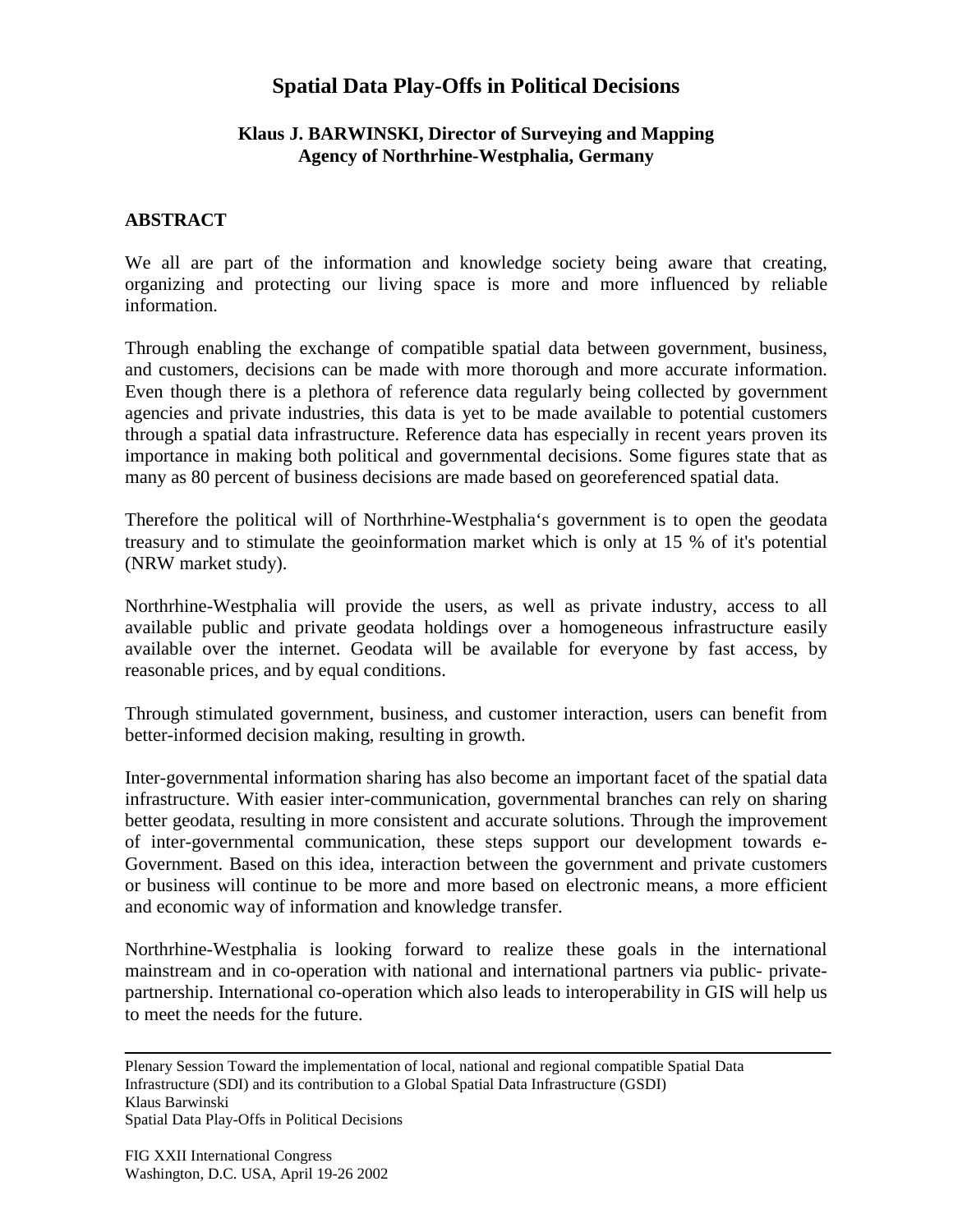## **Spatial Data Play-Offs in Political Decisions**

## **Klaus J. BARWINSKI, Director of Surveying and Mapping Agency of Northrhine-Westphalia, Germany**

## **ABSTRACT**

We all are part of the information and knowledge society being aware that creating, organizing and protecting our living space is more and more influenced by reliable information.

Through enabling the exchange of compatible spatial data between government, business, and customers, decisions can be made with more thorough and more accurate information. Even though there is a plethora of reference data regularly being collected by government agencies and private industries, this data is yet to be made available to potential customers through a spatial data infrastructure. Reference data has especially in recent years proven its importance in making both political and governmental decisions. Some figures state that as many as 80 percent of business decisions are made based on georeferenced spatial data.

Therefore the political will of Northrhine-Westphalia's government is to open the geodata treasury and to stimulate the geoinformation market which is only at 15 % of it's potential (NRW market study).

Northrhine-Westphalia will provide the users, as well as private industry, access to all available public and private geodata holdings over a homogeneous infrastructure easily available over the internet. Geodata will be available for everyone by fast access, by reasonable prices, and by equal conditions.

Through stimulated government, business, and customer interaction, users can benefit from better-informed decision making, resulting in growth.

Inter-governmental information sharing has also become an important facet of the spatial data infrastructure. With easier inter-communication, governmental branches can rely on sharing better geodata, resulting in more consistent and accurate solutions. Through the improvement of inter-governmental communication, these steps support our development towards e-Government. Based on this idea, interaction between the government and private customers or business will continue to be more and more based on electronic means, a more efficient and economic way of information and knowledge transfer.

Northrhine-Westphalia is looking forward to realize these goals in the international mainstream and in co-operation with national and international partners via public- privatepartnership. International co-operation which also leads to interoperability in GIS will help us to meet the needs for the future.

Plenary Session Toward the implementation of local, national and regional compatible Spatial Data Infrastructure (SDI) and its contribution to a Global Spatial Data Infrastructure (GSDI) Klaus Barwinski Spatial Data Play-Offs in Political Decisions